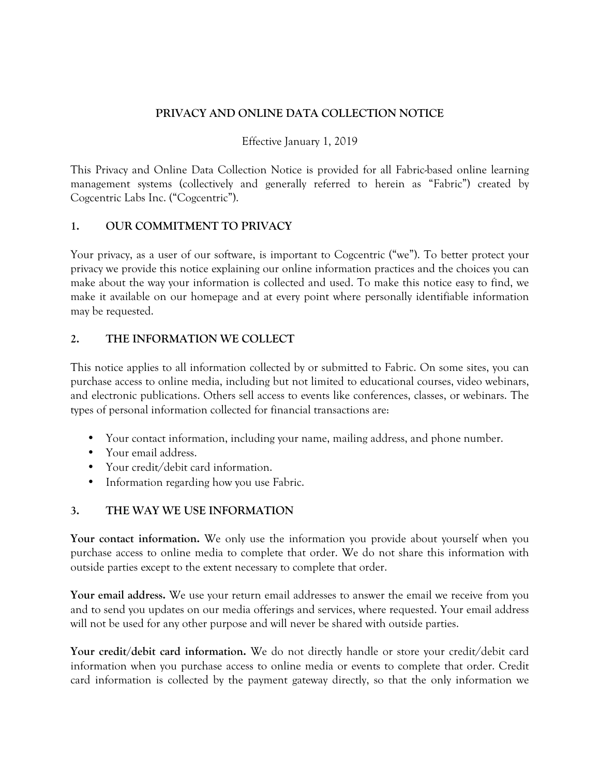### **PRIVACY AND ONLINE DATA COLLECTION NOTICE**

#### Effective January 1, 2019

This Privacy and Online Data Collection Notice is provided for all Fabric-based online learning management systems (collectively and generally referred to herein as "Fabric") created by Cogcentric Labs Inc. ("Cogcentric").

#### **1. OUR COMMITMENT TO PRIVACY**

Your privacy, as a user of our software, is important to Cogcentric ("we"). To better protect your privacy we provide this notice explaining our online information practices and the choices you can make about the way your information is collected and used. To make this notice easy to find, we make it available on our homepage and at every point where personally identifiable information may be requested.

### **2. THE INFORMATION WE COLLECT**

This notice applies to all information collected by or submitted to Fabric. On some sites, you can purchase access to online media, including but not limited to educational courses, video webinars, and electronic publications. Others sell access to events like conferences, classes, or webinars. The types of personal information collected for financial transactions are:

- Your contact information, including your name, mailing address, and phone number.
- Your email address.
- Your credit/debit card information.
- Information regarding how you use Fabric.

#### **3. THE WAY WE USE INFORMATION**

**Your contact information.** We only use the information you provide about yourself when you purchase access to online media to complete that order. We do not share this information with outside parties except to the extent necessary to complete that order.

**Your email address.** We use your return email addresses to answer the email we receive from you and to send you updates on our media offerings and services, where requested. Your email address will not be used for any other purpose and will never be shared with outside parties.

**Your credit/debit card information.** We do not directly handle or store your credit/debit card information when you purchase access to online media or events to complete that order. Credit card information is collected by the payment gateway directly, so that the only information we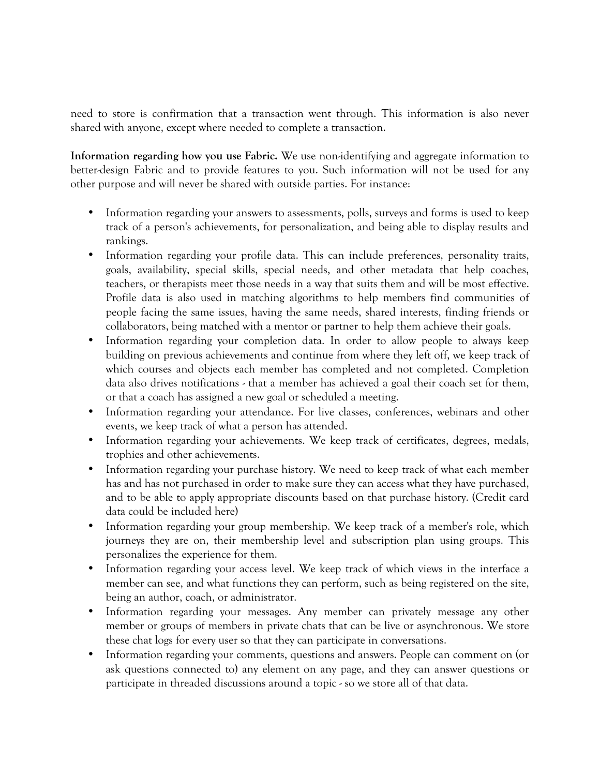need to store is confirmation that a transaction went through. This information is also never shared with anyone, except where needed to complete a transaction.

**Information regarding how you use Fabric.** We use non-identifying and aggregate information to better-design Fabric and to provide features to you. Such information will not be used for any other purpose and will never be shared with outside parties. For instance:

- Information regarding your answers to assessments, polls, surveys and forms is used to keep track of a person's achievements, for personalization, and being able to display results and rankings.
- Information regarding your profile data. This can include preferences, personality traits, goals, availability, special skills, special needs, and other metadata that help coaches, teachers, or therapists meet those needs in a way that suits them and will be most effective. Profile data is also used in matching algorithms to help members find communities of people facing the same issues, having the same needs, shared interests, finding friends or collaborators, being matched with a mentor or partner to help them achieve their goals.
- Information regarding your completion data. In order to allow people to always keep building on previous achievements and continue from where they left off, we keep track of which courses and objects each member has completed and not completed. Completion data also drives notifications - that a member has achieved a goal their coach set for them, or that a coach has assigned a new goal or scheduled a meeting.
- Information regarding your attendance. For live classes, conferences, webinars and other events, we keep track of what a person has attended.
- Information regarding your achievements. We keep track of certificates, degrees, medals, trophies and other achievements.
- Information regarding your purchase history. We need to keep track of what each member has and has not purchased in order to make sure they can access what they have purchased, and to be able to apply appropriate discounts based on that purchase history. (Credit card data could be included here)
- Information regarding your group membership. We keep track of a member's role, which journeys they are on, their membership level and subscription plan using groups. This personalizes the experience for them.
- Information regarding your access level. We keep track of which views in the interface a member can see, and what functions they can perform, such as being registered on the site, being an author, coach, or administrator.
- Information regarding your messages. Any member can privately message any other member or groups of members in private chats that can be live or asynchronous. We store these chat logs for every user so that they can participate in conversations.
- Information regarding your comments, questions and answers. People can comment on (or ask questions connected to) any element on any page, and they can answer questions or participate in threaded discussions around a topic - so we store all of that data.